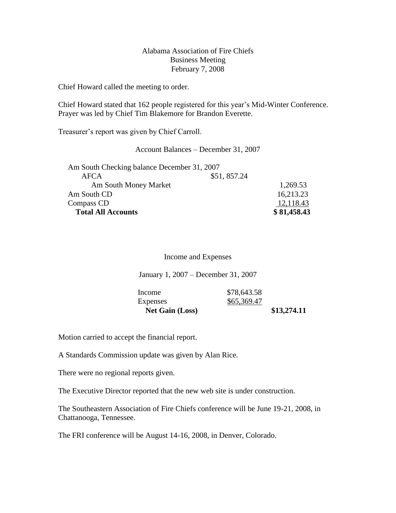# Alabama Association of Fire Chiefs Business Meeting February 7, 2008

Chief Howard called the meeting to order.

Chief Howard stated that 162 people registered for this year's Mid-Winter Conference. Prayer was led by Chief Tim Blakemore for Brandon Everette.

Treasurer's report was given by Chief Carroll.

Account Balances – December 31, 2007

| Am South Checking balance December 31, 2007<br>AFCA | \$51,857.24 |             |
|-----------------------------------------------------|-------------|-------------|
| Am South Money Market                               |             | 1,269.53    |
| Am South CD                                         |             | 16,213.23   |
| Compass CD                                          |             | 12,118.43   |
| <b>Total All Accounts</b>                           |             | \$81,458.43 |

#### Income and Expenses

January 1, 2007 – December 31, 2007

| Income                 | \$78,643.58 |             |
|------------------------|-------------|-------------|
| Expenses               | \$65,369.47 |             |
| <b>Net Gain (Loss)</b> |             | \$13,274.11 |

Motion carried to accept the financial report.

A Standards Commission update was given by Alan Rice.

There were no regional reports given.

The Executive Director reported that the new web site is under construction.

The Southeastern Association of Fire Chiefs conference will be June 19-21, 2008, in Chattanooga, Tennessee.

The FRI conference will be August 14-16, 2008, in Denver, Colorado.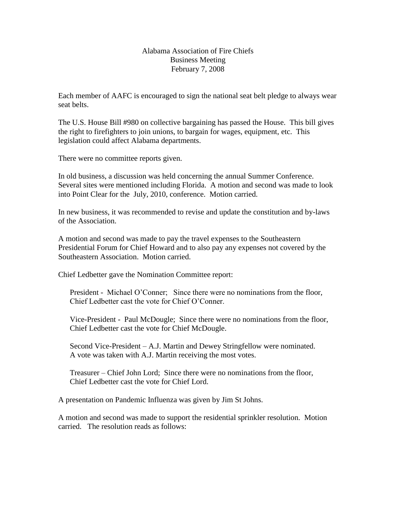# Alabama Association of Fire Chiefs Business Meeting February 7, 2008

Each member of AAFC is encouraged to sign the national seat belt pledge to always wear seat belts.

The U.S. House Bill #980 on collective bargaining has passed the House. This bill gives the right to firefighters to join unions, to bargain for wages, equipment, etc. This legislation could affect Alabama departments.

There were no committee reports given.

In old business, a discussion was held concerning the annual Summer Conference. Several sites were mentioned including Florida. A motion and second was made to look into Point Clear for the July, 2010, conference. Motion carried.

In new business, it was recommended to revise and update the constitution and by-laws of the Association.

A motion and second was made to pay the travel expenses to the Southeastern Presidential Forum for Chief Howard and to also pay any expenses not covered by the Southeastern Association. Motion carried.

Chief Ledbetter gave the Nomination Committee report:

President - Michael O'Conner; Since there were no nominations from the floor, Chief Ledbetter cast the vote for Chief O'Conner.

 Vice-President - Paul McDougle; Since there were no nominations from the floor, Chief Ledbetter cast the vote for Chief McDougle.

 Second Vice-President – A.J. Martin and Dewey Stringfellow were nominated. A vote was taken with A.J. Martin receiving the most votes.

 Treasurer – Chief John Lord; Since there were no nominations from the floor, Chief Ledbetter cast the vote for Chief Lord.

A presentation on Pandemic Influenza was given by Jim St Johns.

A motion and second was made to support the residential sprinkler resolution. Motion carried. The resolution reads as follows: